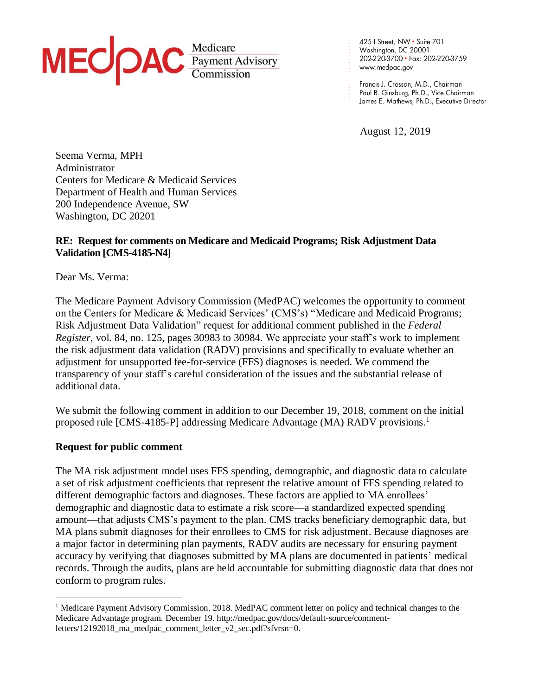

425 | Street, NW · Suite 701 Washington, DC 20001 202-220-3700 · Fax: 202-220-3759 www.medpac.gov

. . . . . . . . . . . . . . . . . . . . . .

Francis J. Crosson, M.D., Chairman Paul B. Ginsburg, Ph.D., Vice Chairman James E. Mathews, Ph.D., Executive Director

August 12, 2019

Seema Verma, MPH Administrator Centers for Medicare & Medicaid Services Department of Health and Human Services 200 Independence Avenue, SW Washington, DC 20201

## **RE: Request for comments on Medicare and Medicaid Programs; Risk Adjustment Data Validation [CMS-4185-N4]**

Dear Ms. Verma:

The Medicare Payment Advisory Commission (MedPAC) welcomes the opportunity to comment on the Centers for Medicare & Medicaid Services' (CMS's) "Medicare and Medicaid Programs; Risk Adjustment Data Validation" request for additional comment published in the *Federal Register*, vol. 84, no. 125, pages 30983 to 30984. We appreciate your staff's work to implement the risk adjustment data validation (RADV) provisions and specifically to evaluate whether an adjustment for unsupported fee-for-service (FFS) diagnoses is needed. We commend the transparency of your staff's careful consideration of the issues and the substantial release of additional data.

We submit the following comment in addition to our December 19, 2018, comment on the initial proposed rule [CMS-4185-P] addressing Medicare Advantage (MA) RADV provisions. 1

## **Request for public comment**

The MA risk adjustment model uses FFS spending, demographic, and diagnostic data to calculate a set of risk adjustment coefficients that represent the relative amount of FFS spending related to different demographic factors and diagnoses. These factors are applied to MA enrollees' demographic and diagnostic data to estimate a risk score—a standardized expected spending amount—that adjusts CMS's payment to the plan. CMS tracks beneficiary demographic data, but MA plans submit diagnoses for their enrollees to CMS for risk adjustment. Because diagnoses are a major factor in determining plan payments, RADV audits are necessary for ensuring payment accuracy by verifying that diagnoses submitted by MA plans are documented in patients' medical records. Through the audits, plans are held accountable for submitting diagnostic data that does not conform to program rules.

<sup>&</sup>lt;sup>1</sup> Medicare Payment Advisory Commission. 2018. MedPAC comment letter on policy and technical changes to the Medicare Advantage program. December 19. http://medpac.gov/docs/default-source/commentletters/12192018\_ma\_medpac\_comment\_letter\_v2\_sec.pdf?sfvrsn=0.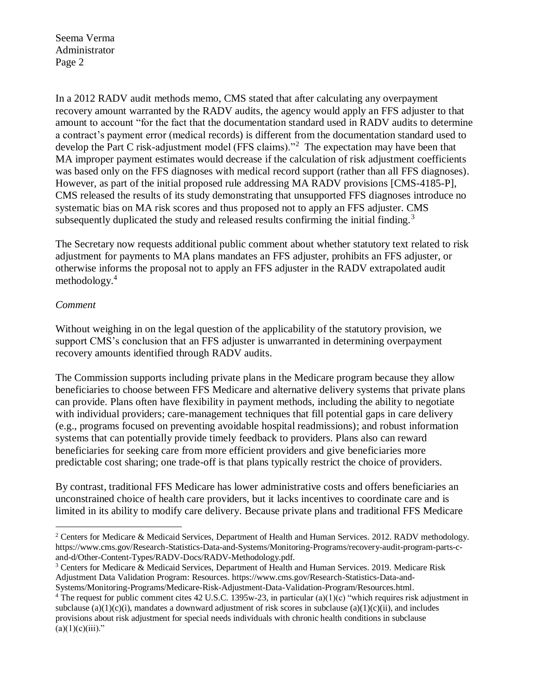Seema Verma Administrator Page 2

In a 2012 RADV audit methods memo, CMS stated that after calculating any overpayment recovery amount warranted by the RADV audits, the agency would apply an FFS adjuster to that amount to account "for the fact that the documentation standard used in RADV audits to determine a contract's payment error (medical records) is different from the documentation standard used to develop the Part C risk-adjustment model (FFS claims)."<sup>2</sup> The expectation may have been that MA improper payment estimates would decrease if the calculation of risk adjustment coefficients was based only on the FFS diagnoses with medical record support (rather than all FFS diagnoses). However, as part of the initial proposed rule addressing MA RADV provisions [CMS-4185-P], CMS released the results of its study demonstrating that unsupported FFS diagnoses introduce no systematic bias on MA risk scores and thus proposed not to apply an FFS adjuster. CMS subsequently duplicated the study and released results confirming the initial finding.<sup>3</sup>

The Secretary now requests additional public comment about whether statutory text related to risk adjustment for payments to MA plans mandates an FFS adjuster, prohibits an FFS adjuster, or otherwise informs the proposal not to apply an FFS adjuster in the RADV extrapolated audit methodology.<sup>4</sup>

## *Comment*

 $\overline{a}$ 

Without weighing in on the legal question of the applicability of the statutory provision, we support CMS's conclusion that an FFS adjuster is unwarranted in determining overpayment recovery amounts identified through RADV audits.

The Commission supports including private plans in the Medicare program because they allow beneficiaries to choose between FFS Medicare and alternative delivery systems that private plans can provide. Plans often have flexibility in payment methods, including the ability to negotiate with individual providers; care-management techniques that fill potential gaps in care delivery (e.g., programs focused on preventing avoidable hospital readmissions); and robust information systems that can potentially provide timely feedback to providers. Plans also can reward beneficiaries for seeking care from more efficient providers and give beneficiaries more predictable cost sharing; one trade-off is that plans typically restrict the choice of providers.

By contrast, traditional FFS Medicare has lower administrative costs and offers beneficiaries an unconstrained choice of health care providers, but it lacks incentives to coordinate care and is limited in its ability to modify care delivery. Because private plans and traditional FFS Medicare

<sup>2</sup> Centers for Medicare & Medicaid Services, Department of Health and Human Services. 2012. RADV methodology. https://www.cms.gov/Research-Statistics-Data-and-Systems/Monitoring-Programs/recovery-audit-program-parts-cand-d/Other-Content-Types/RADV-Docs/RADV-Methodology.pdf.

<sup>3</sup> Centers for Medicare & Medicaid Services, Department of Health and Human Services. 2019. Medicare Risk Adjustment Data Validation Program: Resources. https://www.cms.gov/Research-Statistics-Data-and-Systems/Monitoring-Programs/Medicare-Risk-Adjustment-Data-Validation-Program/Resources.html.

<sup>&</sup>lt;sup>4</sup> The request for public comment cites 42 U.S.C. 1395w-23, in particular (a)(1)(c) "which requires risk adjustment in subclause (a)(1)(c)(i), mandates a downward adjustment of risk scores in subclause (a)(1)(c)(ii), and includes provisions about risk adjustment for special needs individuals with chronic health conditions in subclause  $(a)(1)(c)(iii)$ ."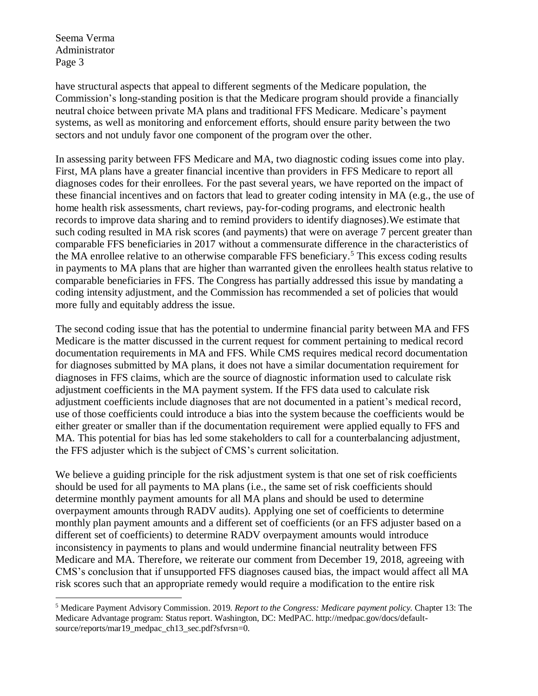Seema Verma Administrator Page 3

 $\overline{a}$ 

have structural aspects that appeal to different segments of the Medicare population, the Commission's long-standing position is that the Medicare program should provide a financially neutral choice between private MA plans and traditional FFS Medicare. Medicare's payment systems, as well as monitoring and enforcement efforts, should ensure parity between the two sectors and not unduly favor one component of the program over the other.

In assessing parity between FFS Medicare and MA, two diagnostic coding issues come into play. First, MA plans have a greater financial incentive than providers in FFS Medicare to report all diagnoses codes for their enrollees. For the past several years, we have reported on the impact of these financial incentives and on factors that lead to greater coding intensity in MA (e.g., the use of home health risk assessments, chart reviews, pay-for-coding programs, and electronic health records to improve data sharing and to remind providers to identify diagnoses).We estimate that such coding resulted in MA risk scores (and payments) that were on average 7 percent greater than comparable FFS beneficiaries in 2017 without a commensurate difference in the characteristics of the MA enrollee relative to an otherwise comparable FFS beneficiary. <sup>5</sup> This excess coding results in payments to MA plans that are higher than warranted given the enrollees health status relative to comparable beneficiaries in FFS. The Congress has partially addressed this issue by mandating a coding intensity adjustment, and the Commission has recommended a set of policies that would more fully and equitably address the issue.

The second coding issue that has the potential to undermine financial parity between MA and FFS Medicare is the matter discussed in the current request for comment pertaining to medical record documentation requirements in MA and FFS. While CMS requires medical record documentation for diagnoses submitted by MA plans, it does not have a similar documentation requirement for diagnoses in FFS claims, which are the source of diagnostic information used to calculate risk adjustment coefficients in the MA payment system. If the FFS data used to calculate risk adjustment coefficients include diagnoses that are not documented in a patient's medical record, use of those coefficients could introduce a bias into the system because the coefficients would be either greater or smaller than if the documentation requirement were applied equally to FFS and MA. This potential for bias has led some stakeholders to call for a counterbalancing adjustment, the FFS adjuster which is the subject of CMS's current solicitation.

We believe a guiding principle for the risk adjustment system is that one set of risk coefficients should be used for all payments to MA plans (i.e., the same set of risk coefficients should determine monthly payment amounts for all MA plans and should be used to determine overpayment amounts through RADV audits). Applying one set of coefficients to determine monthly plan payment amounts and a different set of coefficients (or an FFS adjuster based on a different set of coefficients) to determine RADV overpayment amounts would introduce inconsistency in payments to plans and would undermine financial neutrality between FFS Medicare and MA. Therefore, we reiterate our comment from December 19, 2018, agreeing with CMS's conclusion that if unsupported FFS diagnoses caused bias, the impact would affect all MA risk scores such that an appropriate remedy would require a modification to the entire risk

<sup>5</sup> Medicare Payment Advisory Commission. 2019. *Report to the Congress: Medicare payment policy.* Chapter 13: The Medicare Advantage program: Status report. Washington, DC: MedPAC. http://medpac.gov/docs/defaultsource/reports/mar19\_medpac\_ch13\_sec.pdf?sfvrsn=0.